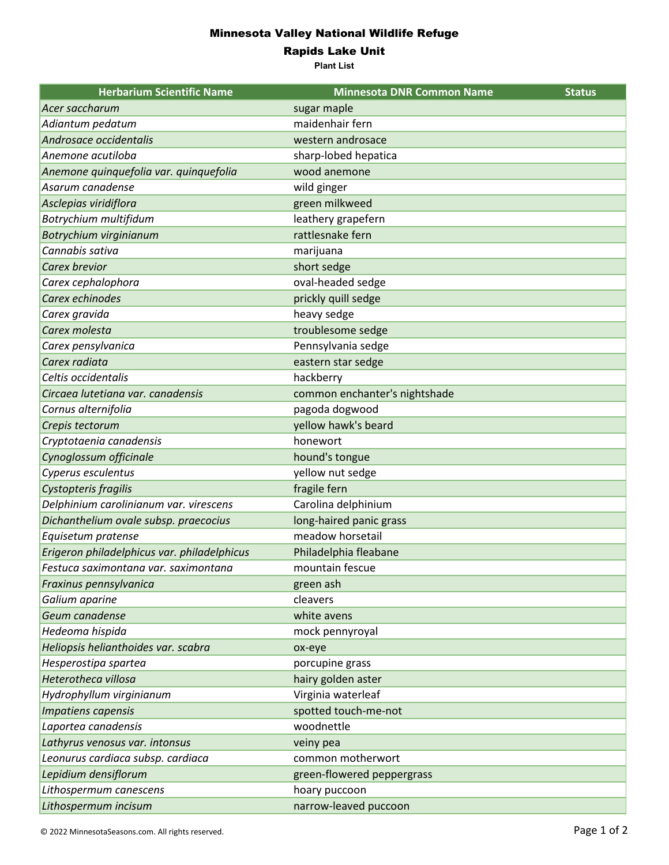## Minnesota Valley National Wildlife Refuge

Rapids Lake Unit

**Plant List**

| <b>Herbarium Scientific Name</b>            | <b>Minnesota DNR Common Name</b> | <b>Status</b> |
|---------------------------------------------|----------------------------------|---------------|
| Acer saccharum                              | sugar maple                      |               |
| Adiantum pedatum                            | maidenhair fern                  |               |
| Androsace occidentalis                      | western androsace                |               |
| Anemone acutiloba                           | sharp-lobed hepatica             |               |
| Anemone quinquefolia var. quinquefolia      | wood anemone                     |               |
| Asarum canadense                            | wild ginger                      |               |
| Asclepias viridiflora                       | green milkweed                   |               |
| Botrychium multifidum                       | leathery grapefern               |               |
| Botrychium virginianum                      | rattlesnake fern                 |               |
| Cannabis sativa                             | marijuana                        |               |
| <b>Carex brevior</b>                        | short sedge                      |               |
| Carex cephalophora                          | oval-headed sedge                |               |
| Carex echinodes                             | prickly quill sedge              |               |
| Carex gravida                               | heavy sedge                      |               |
| Carex molesta                               | troublesome sedge                |               |
| Carex pensylvanica                          | Pennsylvania sedge               |               |
| Carex radiata                               | eastern star sedge               |               |
| Celtis occidentalis                         | hackberry                        |               |
| Circaea lutetiana var. canadensis           | common enchanter's nightshade    |               |
| Cornus alternifolia                         | pagoda dogwood                   |               |
| Crepis tectorum                             | yellow hawk's beard              |               |
| Cryptotaenia canadensis                     | honewort                         |               |
| Cynoglossum officinale                      | hound's tongue                   |               |
| Cyperus esculentus                          | yellow nut sedge                 |               |
| Cystopteris fragilis                        | fragile fern                     |               |
| Delphinium carolinianum var. virescens      | Carolina delphinium              |               |
| Dichanthelium ovale subsp. praecocius       | long-haired panic grass          |               |
| Equisetum pratense                          | meadow horsetail                 |               |
| Erigeron philadelphicus var. philadelphicus | Philadelphia fleabane            |               |
| Festuca saximontana var. saximontana        | mountain fescue                  |               |
| Fraxinus pennsylvanica                      | green ash                        |               |
| Galium aparine                              | cleavers                         |               |
| Geum canadense                              | white avens                      |               |
| Hedeoma hispida                             | mock pennyroyal                  |               |
| Heliopsis helianthoides var. scabra         | ox-eye                           |               |
| Hesperostipa spartea                        | porcupine grass                  |               |
| Heterotheca villosa                         | hairy golden aster               |               |
| Hydrophyllum virginianum                    | Virginia waterleaf               |               |
| Impatiens capensis                          | spotted touch-me-not             |               |
| Laportea canadensis                         | woodnettle                       |               |
| Lathyrus venosus var. intonsus              | veiny pea                        |               |
| Leonurus cardiaca subsp. cardiaca           | common motherwort                |               |
| Lepidium densiflorum                        | green-flowered peppergrass       |               |
| Lithospermum canescens                      | hoary puccoon                    |               |
| Lithospermum incisum                        | narrow-leaved puccoon            |               |